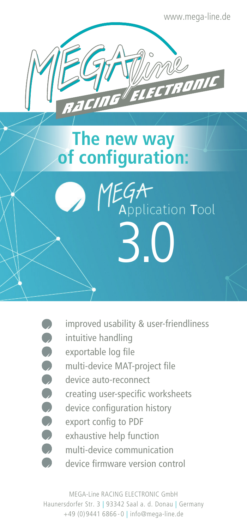www.mega-line.de

## **The new way of configuration:**



improved usability & user-friendliness

3.0

- intuitive handling
- exportable log file
	- multi-device MAT-project file
- device auto-reconnect
- creating user-specific worksheets
- device configuration history
- export config to PDF
- exhaustive help function
	- multi-device communication
	- device firmware version control

MEGA-Line RACING ELECTRONIC GmbH Haunersdorfer Str. 3 | 93342 Saal a. d. Donau | Germany +49 (0)9441 6866 - 0 | info@mega-line.de